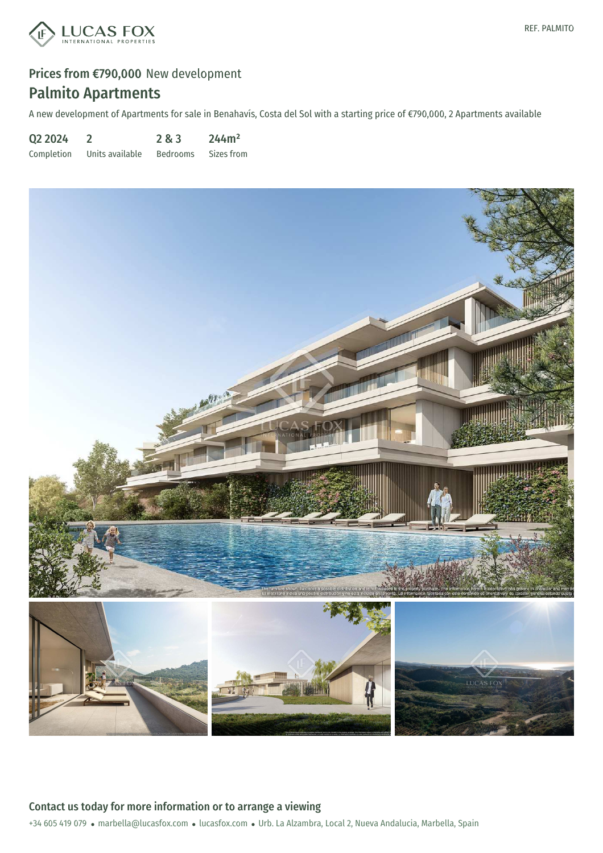

A new development of Apartments for sale in Benahavís, Costa del Sol with a starting price of €790,000, 2 Apartments available

Q2 2024 Completion 2 Units available 2 & 3 Bedrooms 244m² Sizes from

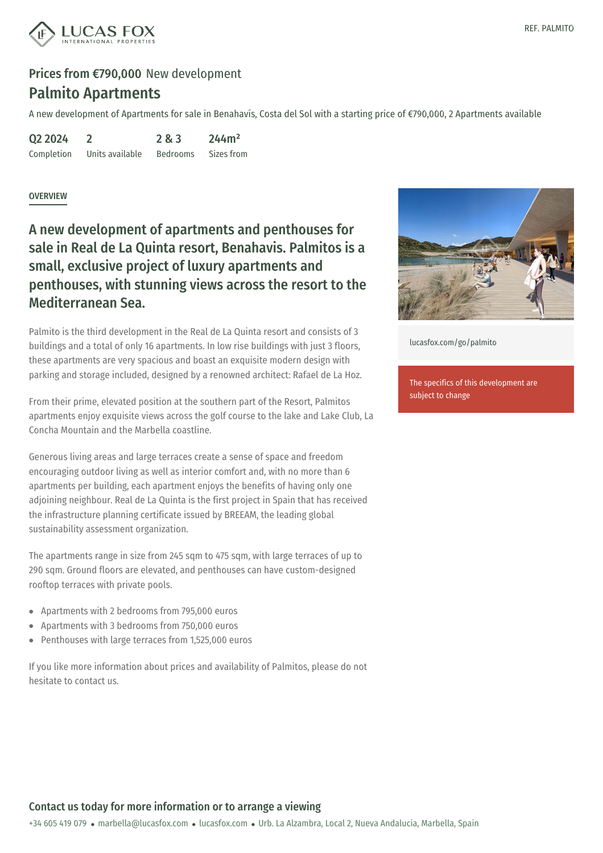

A new development of Apartments for sale in Benahavís, Costa del Sol with a starting price of €790,000, 2 Apartments available

| Q2 2024    |                 | 2 & 3           | 244m <sup>2</sup> |
|------------|-----------------|-----------------|-------------------|
| Completion | Units available | <b>Bedrooms</b> | Sizes from        |

#### **OVERVIEW**

A new development of apartments and penthouses for sale in Real de La Quinta resort, Benahavis. Palmitos is a small, exclusive project of luxury apartments and penthouses, with stunning views across the resort to the Mediterranean Sea.

Palmito is the third development in the Real de La Quinta resort and consists of 3 buildings and a total of only 16 apartments. In low rise buildings with just 3 floors, these apartments are very spacious and boast an exquisite modern design with parking and storage included, designed by a renowned architect: Rafael de La Hoz.

From their prime, elevated position at the southern part of the Resort, Palmitos apartments enjoy exquisite views across the golf course to the lake and Lake Club, La Concha Mountain and the Marbella coastline.

Generous living areas and large terraces create a sense of space and freedom encouraging outdoor living as well as interior comfort and, with no more than 6 apartments per building, each apartment enjoys the benefits of having only one adjoining neighbour. Real de La Quinta is the first project in Spain that has received the infrastructure planning certificate issued by BREEAM, the leading global sustainability assessment organization.

The apartments range in size from 245 sqm to 475 sqm, with large terraces of up to 290 sqm. Ground floors are elevated, and penthouses can have custom-designed rooftop terraces with private pools.

- Apartments with 2 bedrooms from 795,000 euros
- Apartments with 3 bedrooms from 750,000 euros
- Penthouses with large [terraces](mailto:marbella@lucasfox.com) from 1,[525,000](https://www.lucasfox.com) euros

If you like more information about prices and availability of Palmitos, please do not hesitate to contact us.



[lucasfox.com/go/palmito](https://www.lucasfox.com/go/palmito)

The specifics of this development are subject to change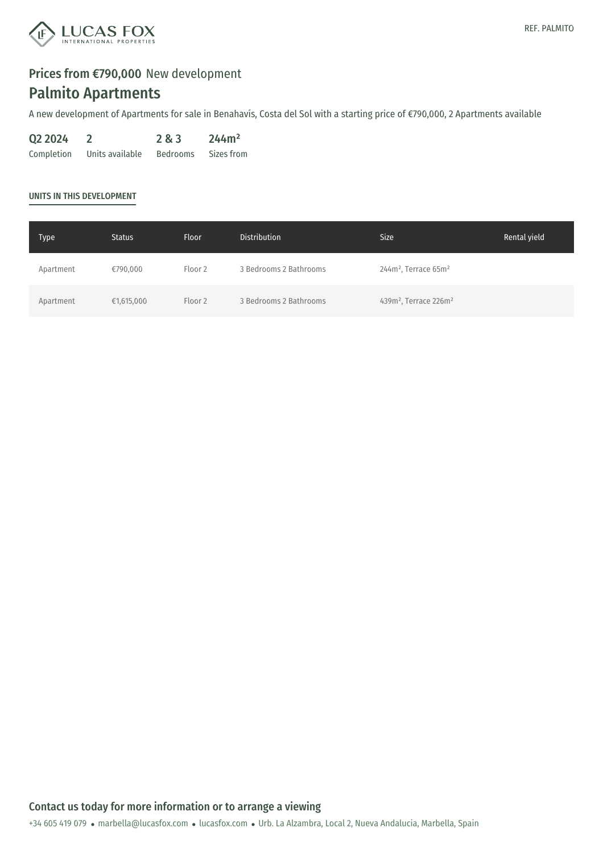

A new development of Apartments for sale in Benahavís, Costa del Sol with a starting price of €790,000, 2 Apartments available

| Q2 2024    |                 | 2 & 3           | 244m <sup>2</sup> |
|------------|-----------------|-----------------|-------------------|
| Completion | Units available | <b>Bedrooms</b> | Sizes from        |

#### UNITS IN THIS DEVELOPMENT

| <b>Type</b> | <b>Status</b> | <b>Floor</b> | <b>Distribution</b>    | Size <sup>1</sup>                             | Rental yield |
|-------------|---------------|--------------|------------------------|-----------------------------------------------|--------------|
| Apartment   | €790,000      | Floor 2      | 3 Bedrooms 2 Bathrooms | $244m^2$ , Terrace 65m <sup>2</sup>           |              |
| Apartment   | €1,615,000    | Floor 2      | 3 Bedrooms 2 Bathrooms | 439m <sup>2</sup> , Terrace 226m <sup>2</sup> |              |